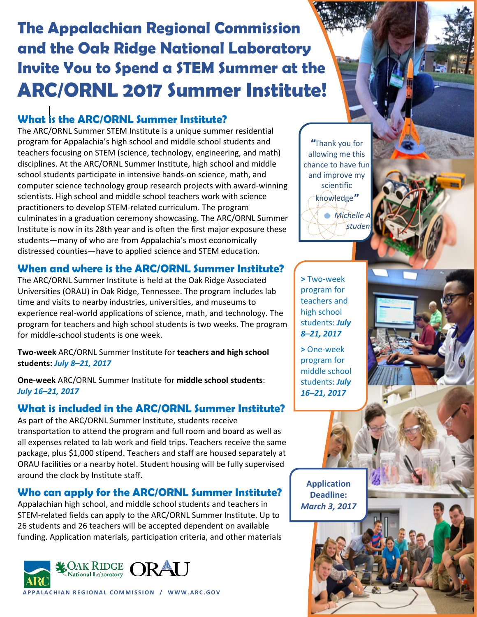# **The Appalachian Regional Commission and the Oak Ridge National Laboratory Invite You to Spend a STEM Summer at the ARC/ORNL 2017 Summer Institute!**

# **What is the ARC/ORNL Summer Institute?**

The ARC/ORNL Summer STEM Institute is a unique summer residential program for Appalachia's high school and middle school students and teachers focusing on STEM (science, technology, engineering, and math) disciplines. At the ARC/ORNL Summer Institute, high school and middle school students participate in intensive hands-on science, math, and computer science technology group research projects with award-winning scientists. High school and middle school teachers work with science practitioners to develop STEM-related curriculum. The program culminates in a graduation ceremony showcasing. The ARC/ORNL Summer Institute is now in its 28th year and is often the first major exposure these students—many of who are from Appalachia's most economically distressed counties—have to applied science and STEM education.

# **When and where is the ARC/ORNL Summer Institute?**

The ARC/ORNL Summer Institute is held at the Oak Ridge Associated Universities (ORAU) in Oak Ridge, Tennessee. The program includes lab time and visits to nearby industries, universities, and museums to experience real-world applications of science, math, and technology. The program for teachers and high school students is two weeks. The program for middle-school students is one week.

**Two-week** ARC/ORNL Summer Institute for **teachers and high school students:** *July 8–21, 2017*

**One-week** ARC/ORNL Summer Institute for **middle school students**: *July 16–21, 2017*

# **What is included in the ARC/ORNL Summer Institute?**

As part of the ARC/ORNL Summer Institute, students receive transportation to attend the program and full room and board as well as all expenses related to lab work and field trips. Teachers receive the same package, plus \$1,000 stipend. Teachers and staff are housed separately at ORAU facilities or a nearby hotel. Student housing will be fully supervised around the clock by Institute staff.

# **Who can apply for the ARC/ORNL Summer Institute?**

Appalachian high school, and middle school students and teachers in STEM-related fields can apply to the ARC/ORNL Summer Institute. Up to 26 students and 26 teachers will be accepted dependent on available funding. Application materials, participation criteria, and other materials



**APPALACHIAN REGIONAL COMMISSION / WWW.ARC.GOV**

"Thank you for allowing me this chance to have fun and improve my scientific knowledge" **•** Michelle *studer* 

**>** Two-week program for teachers and high school students: *July 8–21, 2017*

**>** One-week program for middle school students: *July 16–21, 2017*

**Application Deadline:** *March 3, 2017*